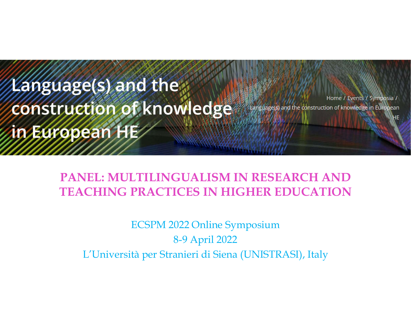Language(s) and the construction of knowledge in European HE

Home / Events / Symposia / Language(s) and the construction of knowledge in European

PANEL: MULTILINGUALISM IN RESEARCH AND TEACHING PRACTICES IN HIGHER EDUCATION

ECSPM 2022 Online Symposium 8-9 April 2022 L'Università per Stranieri di Siena (UNISTRASI), Italy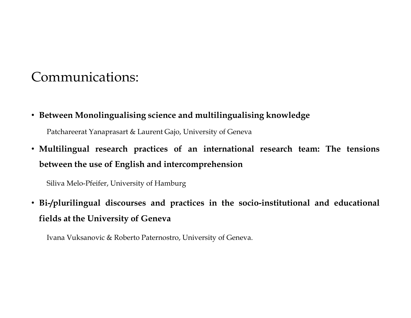## Communications:

Communications:<br>• Between Monolingualising science and multilingualising knowledge<br>Patchareerat Yanaprasart & Laurent Gajo, University of Geneva<br>• Multilingual research practices of an international research team: The tens Patchareerat Yanaprasart & Laurent Gajo, University of Geneva<br>Patchareerat Yanaprasart & Laurent Gajo, University of Geneva<br>Ultilingual research practices of an international research team: The tensions<br>tween the use of En • Between Monolingualising science and multilingualising knowledge<br>
• Patchareerat Yanaprasart & Laurent Gajo, University of Geneva<br>
• Multilingual research practices of an international research team: The tensions<br>
betwee Communications:<br>
Between Monolingualising science and multilingualising knowledge<br>
Patchareerat Yanaprasart & Laurent Gajo, University of Geneva<br>
Multilingual research practices of an international research team: The<br>
betw

mmunications:<br>
Etween Monolingualising science and multilingualising knowledge<br>
Patchareerat Yanaprasart & Laurent Gajo, University of Geneva<br>
ultilingual research practices of an international research team:<br>
Etween the u • Between Monolingualising science and multilingualising knowledge<br>• Patcharecrat Yanaprasart & Laurent Gajo, University of Geneva<br>• Multilingual research practices of an international research team: The tensions<br>between t Between Monolingualising science and multilingualising knowledge<br>
Patchareerat Yanaprasart & Laurent Gajo, University of Geneva<br>
Multilingual research practices of an international research tea:<br>
between the use of English etween Monolingualising science and multilingualising knowledge<br>Patcharcerat Yanaprasart & Laurent Gajo, University of Geneva<br>ultilingual research practices of an international research team: The tensions<br>stween the use of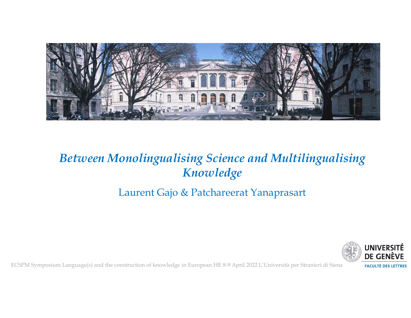

# Knowledge ECSPM Symposium Language(s) and the construction of knowledge in European HE 8-9 April 2022 L'Università per Stranieri di Siena<br>ECSPM Symposium Language(s) and the construction of knowledge in European HE 8-9 April 2022 L'

### Laurent Gajo & Patchareerat Yanaprasart

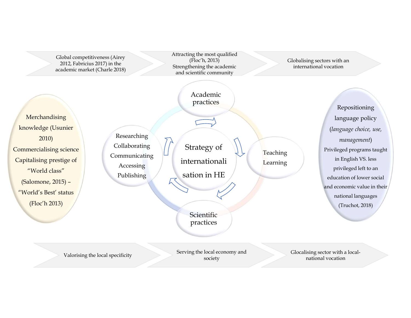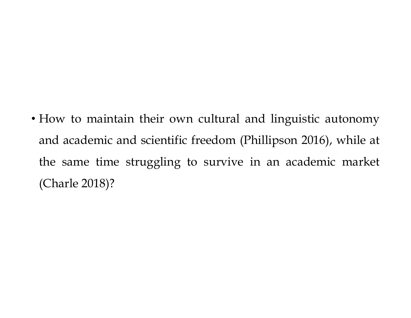• How to maintain their own cultural and linguistic autonomy<br>and academic and scientific freedom (Phillipson 2016), while at<br>the same time atmosfine to sumiye in an academic market How to maintain their own cultural and linguistic autonomy<br>and academic and scientific freedom (Phillipson 2016), while at<br>the same time struggling to survive in an academic market How to maintain their own cultural and linguistic autonomy<br>and academic and scientific freedom (Phillipson 2016), while at<br>the same time struggling to survive in an academic market<br>(Charle 2018)? How to maintain their own cultural a<br>and academic and scientific freedom (P<br>the same time struggling to survive i<br>(Charle 2018)?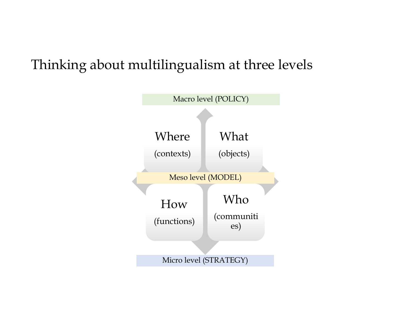## Thinking about multilingualism at three levels

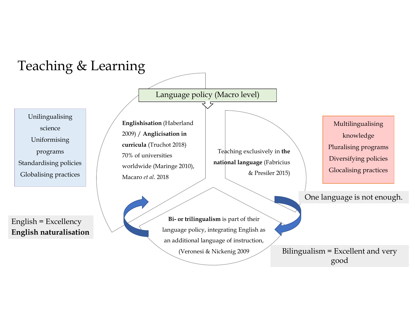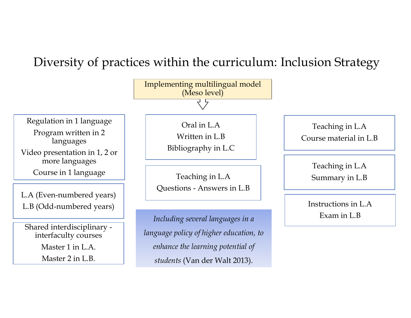## Diversity of practices within the curriculum: Inclusion Strategy

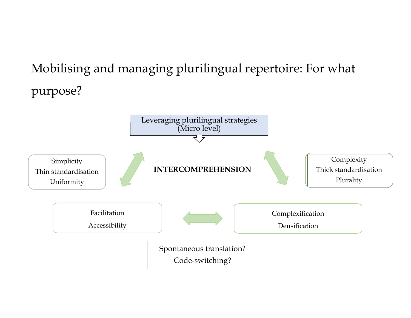# Mobilising and managing plurilingual repertoire: For what purpose?

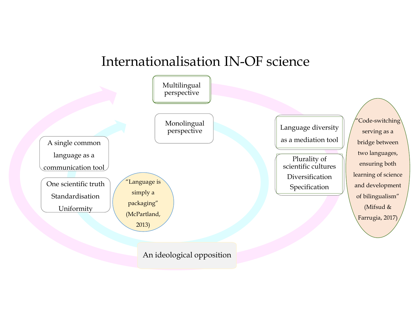

#### An ideological opposition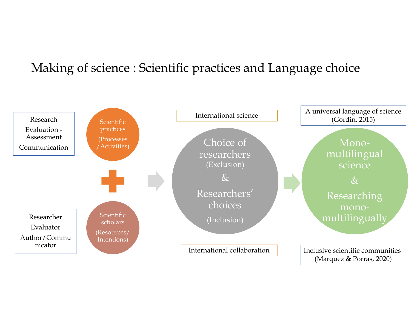## Making of science : Scientific practices and Language choice